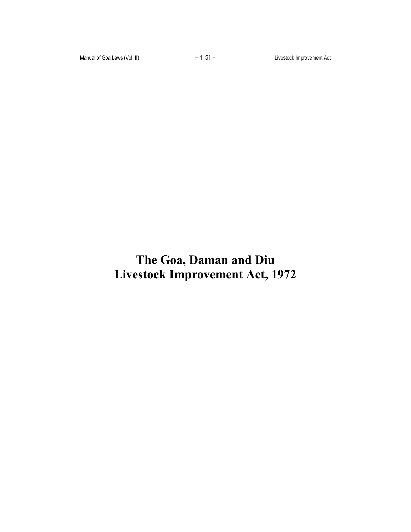Manual of Goa Laws (Vol. II) – 1151 – 1151 – Livestock Improvement Act

**The Goa, Daman and Diu Livestock Improvement Act, 1972**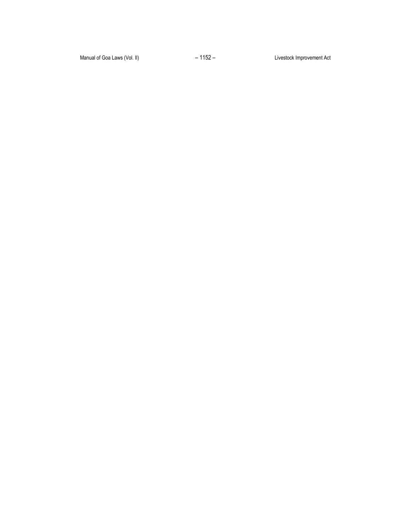Manual of Goa Laws (Vol. II)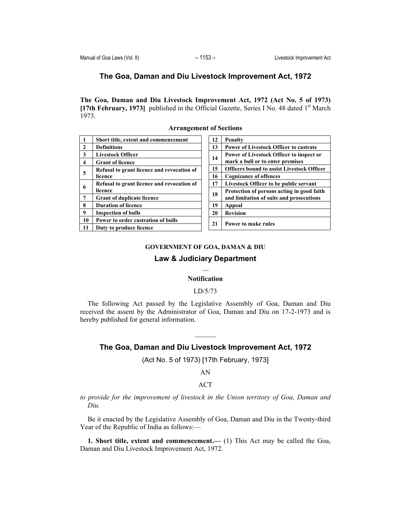# **The Goa, Daman and Diu Livestock Improvement Act, 1972**

**The Goa, Daman and Diu Livestock Improvement Act, 1972 (Act No. 5 of 1973)**  [17th February, 1973] published in the Official Gazette, Series I No. 48 dated 1<sup>st</sup> March 1973.

|    | Short title, extent and commencement                  |
|----|-------------------------------------------------------|
| 2  | <b>Definitions</b>                                    |
| 3  | <b>Livestock Officer</b>                              |
| 4  | <b>Grant of licence</b>                               |
| 5  | Refusal to grant licence and revocation of<br>licence |
| 6  | Refusal to grant licence and revocation of<br>licence |
| 7  | <b>Grant of duplicate licence</b>                     |
| 8  | <b>Duration of licence</b>                            |
| 9  | <b>Inspection of bulls</b>                            |
| 10 | Power to order castration of bulls                    |
| 11 | Duty to produce licence                               |

#### **Arrangement of Sections**

| 12 | Penalty                                                                                |
|----|----------------------------------------------------------------------------------------|
| 13 | <b>Power of Livestock Officer to castrate</b>                                          |
| 14 | Power of Livestock Officer to inspect or<br>mark a bull or to enter premises           |
| 15 | <b>Officers bound to assist Livestock Officer</b>                                      |
| 16 | <b>Cognizance of offences</b>                                                          |
| 17 | Livestock Officer to be public servant                                                 |
| 18 | Protection of persons acting in good faith<br>and limitation of suits and prosecutions |
| 19 | Appeal                                                                                 |
| 20 | <b>Revision</b>                                                                        |
| 21 | Power to make rules                                                                    |

#### **GOVERNMENT OF GOA, DAMAN & DIU**

## **Law & Judiciary Department**

## **Notification**

### LD/5/73

The following Act passed by the Legislative Assembly of Goa, Daman and Diu received the assent by the Administrator of Goa, Daman and Diu on 17-2-1973 and is hereby published for general information.

# **The Goa, Daman and Diu Livestock Improvement Act, 1972**

 $\mathcal{L}=\mathcal{L}$ 

(Act No. 5 of 1973) [17th February, 1973]

### AN

# ACT

*to provide for the improvement of livestock in the Union territory of Goa, Daman and Diu.* 

Be it enacted by the Legislative Assembly of Goa, Daman and Diu in the Twenty-third Year of the Republic of India as follows:—

**1. Short title, extent and commencement.—** (1) This Act may be called the Goa, Daman and Diu Livestock Improvement Act, 1972.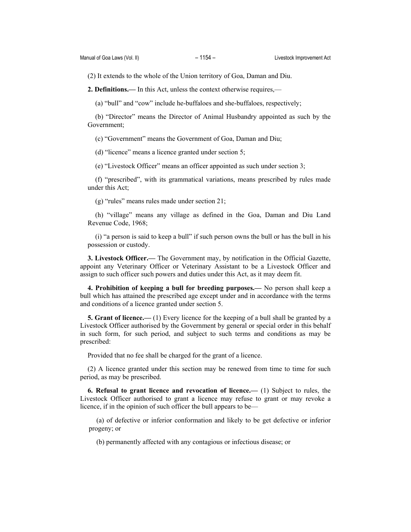(2) It extends to the whole of the Union territory of Goa, Daman and Diu.

**2. Definitions.—** In this Act, unless the context otherwise requires,—

(a) "bull" and "cow" include he-buffaloes and she-buffaloes, respectively;

(b) "Director" means the Director of Animal Husbandry appointed as such by the Government;

(c) "Government" means the Government of Goa, Daman and Diu;

(d) "licence" means a licence granted under section 5;

(e) "Livestock Officer" means an officer appointed as such under section 3;

(f) "prescribed", with its grammatical variations, means prescribed by rules made under this Act;

(g) "rules" means rules made under section 21;

(h) "village" means any village as defined in the Goa, Daman and Diu Land Revenue Code, 1968;

(i) "a person is said to keep a bull" if such person owns the bull or has the bull in his possession or custody.

**3. Livestock Officer.—** The Government may, by notification in the Official Gazette, appoint any Veterinary Officer or Veterinary Assistant to be a Livestock Officer and assign to such officer such powers and duties under this Act, as it may deem fit.

**4. Prohibition of keeping a bull for breeding purposes.—** No person shall keep a bull which has attained the prescribed age except under and in accordance with the terms and conditions of a licence granted under section 5.

**5. Grant of licence.**—(1) Every licence for the keeping of a bull shall be granted by a Livestock Officer authorised by the Government by general or special order in this behalf in such form, for such period, and subject to such terms and conditions as may be prescribed:

Provided that no fee shall be charged for the grant of a licence.

(2) A licence granted under this section may be renewed from time to time for such period, as may be prescribed.

**6. Refusal to grant licence and revocation of licence.—** (1) Subject to rules, the Livestock Officer authorised to grant a licence may refuse to grant or may revoke a licence, if in the opinion of such officer the bull appears to be—

(a) of defective or inferior conformation and likely to be get defective or inferior progeny; or

(b) permanently affected with any contagious or infectious disease; or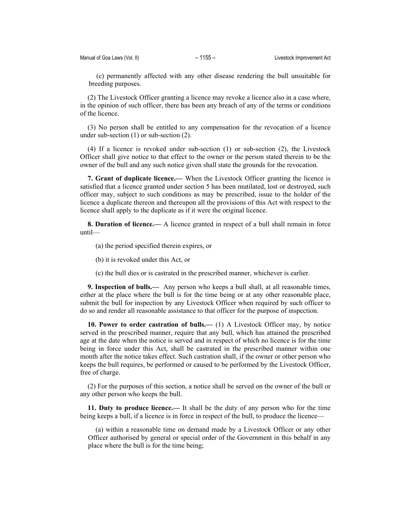(c) permanently affected with any other disease rendering the bull unsuitable for breeding purposes.

(2) The Livestock Officer granting a licence may revoke a licence also in a case where, in the opinion of such officer, there has been any breach of any of the terms or conditions of the licence.

(3) No person shall be entitled to any compensation for the revocation of a licence under sub-section (1) or sub-section (2).

(4) If a licence is revoked under sub-section (1) or sub-section (2), the Livestock Officer shall give notice to that effect to the owner or the person stated therein to be the owner of the bull and any such notice given shall state the grounds for the revocation.

**7. Grant of duplicate licence.—** When the Livestock Officer granting the licence is satisfied that a licence granted under section 5 has been mutilated, lost or destroyed, such officer may, subject to such conditions as may be prescribed, issue to the holder of the licence a duplicate thereon and thereupon all the provisions of this Act with respect to the licence shall apply to the duplicate as if it were the original licence.

**8. Duration of licence.—** A licence granted in respect of a bull shall remain in force until—

(a) the period specified therein expires, or

(b) it is revoked under this Act, or

(c) the bull dies or is castrated in the prescribed manner, whichever is earlier.

**9. Inspection of bulls.—** Any person who keeps a bull shall, at all reasonable times, either at the place where the bull is for the time being or at any other reasonable place, submit the bull for inspection by any Livestock Officer when required by such officer to do so and render all reasonable assistance to that officer for the purpose of inspection.

**10. Power to order castration of bulls.—** (1) A Livestock Officer may, by notice served in the prescribed manner, require that any bull, which has attained the prescribed age at the date when the notice is served and in respect of which no licence is for the time being in force under this Act, shall be castrated in the prescribed manner within one month after the notice takes effect. Such castration shall, if the owner or other person who keeps the bull requires, be performed or caused to be performed by the Livestock Officer, free of charge.

(2) For the purposes of this section, a notice shall be served on the owner of the bull or any other person who keeps the bull.

**11. Duty to produce licence.—** It shall be the duty of any person who for the time being keeps a bull, if a licence is in force in respect of the bull, to produce the licence—

(a) within a reasonable time on demand made by a Livestock Officer or any other Officer authorised by general or special order of the Government in this behalf in any place where the bull is for the time being;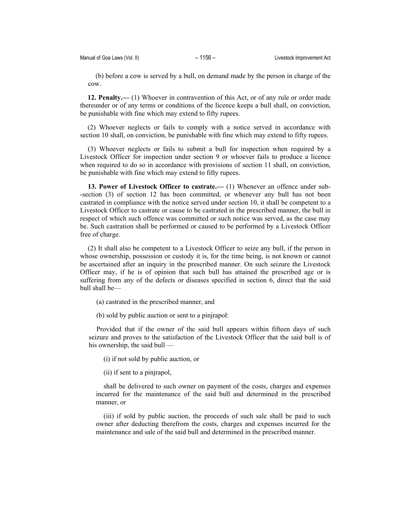(b) before a cow is served by a bull, on demand made by the person in charge of the cow.

**12. Penalty.—** (1) Whoever in contravention of this Act, or of any rule or order made thereunder or of any terms or conditions of the licence keeps a bull shall, on conviction, be punishable with fine which may extend to fifty rupees.

(2) Whoever neglects or fails to comply with a notice served in accordance with section 10 shall, on conviction, be punishable with fine which may extend to fifty rupees.

(3) Whoever neglects or fails to submit a bull for inspection when required by a Livestock Officer for inspection under section 9 or whoever fails to produce a licence when required to do so in accordance with provisions of section 11 shall, on conviction, be punishable with fine which may extend to fifty rupees.

**13. Power of Livestock Officer to castrate.—** (1) Whenever an offence under sub- -section (3) of section 12 has been committed, or whenever any bull has not been castrated in compliance with the notice served under section 10, it shall be competent to a Livestock Officer to castrate or cause to be castrated in the prescribed manner, the bull in respect of which such offence was committed or such notice was served, as the case may be. Such castration shall be performed or caused to be performed by a Livestock Officer free of charge.

(2) It shall also be competent to a Livestock Officer to seize any bull, if the person in whose ownership, possession or custody it is, for the time being, is not known or cannot be ascertained after an inquiry in the prescribed manner. On such seizure the Livestock Officer may, if he is of opinion that such bull has attained the prescribed age or is suffering from any of the defects or diseases specified in section 6, direct that the said bull shall be—

(a) castrated in the prescribed manner, and

(b) sold by public auction or sent to a pinjrapol:

Provided that if the owner of the said bull appears within fifteen days of such seizure and proves to the satisfaction of the Livestock Officer that the said bull is of his ownership, the said bull —

(i) if not sold by public auction, or

(ii) if sent to a pinjrapol,

shall be delivered to such owner on payment of the costs, charges and expenses incurred for the maintenance of the said bull and determined in the prescribed manner, or

(iii) if sold by public auction, the proceeds of such sale shall be paid to such owner after deducting therefrom the costs, charges and expenses incurred for the maintenance and sale of the said bull and determined in the prescribed manner.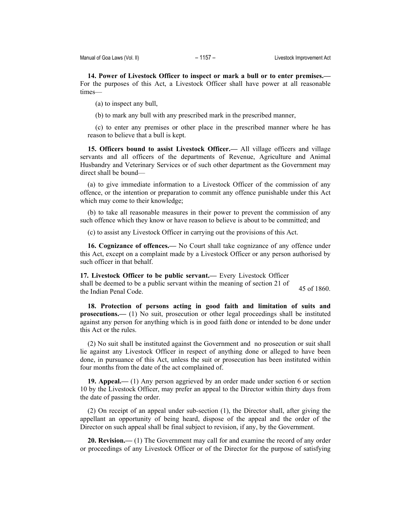**14. Power of Livestock Officer to inspect or mark a bull or to enter premises.—** For the purposes of this Act, a Livestock Officer shall have power at all reasonable times—

(a) to inspect any bull,

(b) to mark any bull with any prescribed mark in the prescribed manner,

(c) to enter any premises or other place in the prescribed manner where he has reason to believe that a bull is kept.

**15. Officers bound to assist Livestock Officer.—** All village officers and village servants and all officers of the departments of Revenue, Agriculture and Animal Husbandry and Veterinary Services or of such other department as the Government may direct shall be bound—

(a) to give immediate information to a Livestock Officer of the commission of any offence, or the intention or preparation to commit any offence punishable under this Act which may come to their knowledge;

(b) to take all reasonable measures in their power to prevent the commission of any such offence which they know or have reason to believe is about to be committed; and

(c) to assist any Livestock Officer in carrying out the provisions of this Act.

**16. Cognizance of offences.—** No Court shall take cognizance of any offence under this Act, except on a complaint made by a Livestock Officer or any person authorised by such officer in that behalf.

**17. Livestock Officer to be public servant.—** Every Livestock Officer shall be deemed to be a public servant within the meaning of section 21 of the Indian Penal Code.  $45$  of 1860.

**18. Protection of persons acting in good faith and limitation of suits and prosecutions.—** (1) No suit, prosecution or other legal proceedings shall be instituted against any person for anything which is in good faith done or intended to be done under this Act or the rules.

(2) No suit shall be instituted against the Government and no prosecution or suit shall lie against any Livestock Officer in respect of anything done or alleged to have been done, in pursuance of this Act, unless the suit or prosecution has been instituted within four months from the date of the act complained of.

**19. Appeal.—** (1) Any person aggrieved by an order made under section 6 or section 10 by the Livestock Officer, may prefer an appeal to the Director within thirty days from the date of passing the order.

(2) On receipt of an appeal under sub-section (1), the Director shall, after giving the appellant an opportunity of being heard, dispose of the appeal and the order of the Director on such appeal shall be final subject to revision, if any, by the Government.

**20. Revision.—** (1) The Government may call for and examine the record of any order or proceedings of any Livestock Officer or of the Director for the purpose of satisfying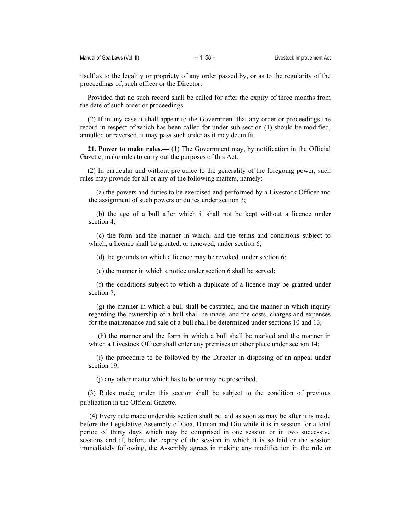itself as to the legality or propriety of any order passed by, or as to the regularity of the proceedings of, such officer or the Director:

Provided that no such record shall be called for after the expiry of three months from the date of such order or proceedings.

(2) If in any case it shall appear to the Government that any order or proceedings the record in respect of which has been called for under sub-section (1) should be modified, annulled or reversed, it may pass such order as it may deem fit.

**21. Power to make rules.—** (1) The Government may, by notification in the Official Gazette, make rules to carry out the purposes of this Act.

(2) In particular and without prejudice to the generality of the foregoing power, such rules may provide for all or any of the following matters, namely: —

(a) the powers and duties to be exercised and performed by a Livestock Officer and the assignment of such powers or duties under section 3;

(b) the age of a bull after which it shall not be kept without a licence under section 4;

(c) the form and the manner in which, and the terms and conditions subject to which, a licence shall be granted, or renewed, under section 6;

(d) the grounds on which a licence may be revoked, under section 6;

(e) the manner in which a notice under section 6 shall be served;

(f) the conditions subject to which a duplicate of a licence may be granted under section 7;

(g) the manner in which a bull shall be castrated, and the manner in which inquiry regarding the ownership of a bull shall be made, and the costs, charges and expenses for the maintenance and sale of a bull shall be determined under sections 10 and 13;

 (h) the manner and the form in which a bull shall be marked and the manner in which a Livestock Officer shall enter any premises or other place under section 14;

(i) the procedure to be followed by the Director in disposing of an appeal under section 19:

(j) any other matter which has to be or may be prescribed.

(3) Rules made- under this section shall be subject to the condition of previous publication in the Official Gazette.

 (4) Every rule made under this section shall be laid as soon as may be after it is made before the Legislative Assembly of Goa, Daman and Diu while it is in session for a total period of thirty days which may be comprised in one session or in two successive sessions and if, before the expiry of the session in which it is so laid or the session immediately following, the Assembly agrees in making any modification in the rule or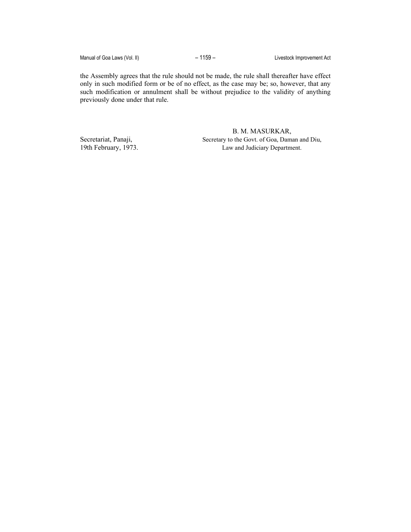Manual of Goa Laws (Vol. II) – 1159 – 1159 – Livestock Improvement Act

the Assembly agrees that the rule should not be made, the rule shall thereafter have effect only in such modified form or be of no effect, as the case may be; so, however, that any such modification or annulment shall be without prejudice to the validity of anything previously done under that rule.

 B. M. MASURKAR, Secretariat, Panaji, Secretary to the Govt. of Goa, Daman and Diu, 19th February, 1973. Law and Judiciary Department.